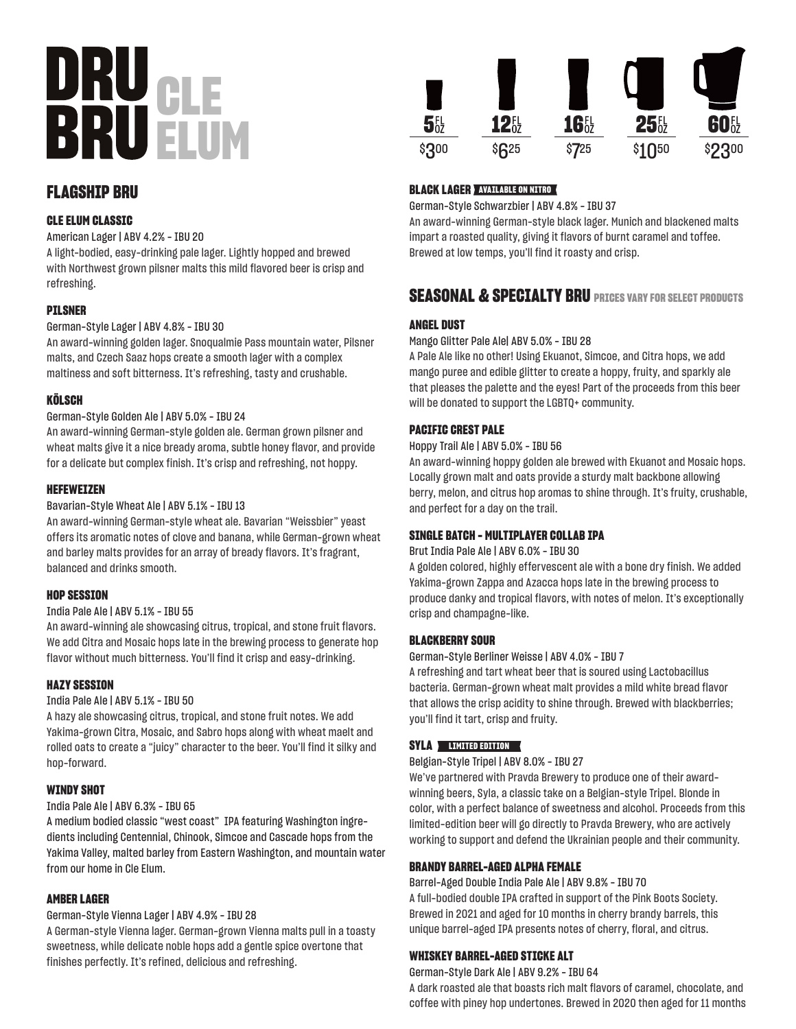# **CLE ELUM**

# **FLAGSHIP BRU**

#### **CLE ELUM CLASSIC**

#### American Lager | ABV 4.2% - IBU 20

A light-bodied, easy-drinking pale lager. Lightly hopped and brewed with Northwest grown pilsner malts this mild flavored beer is crisp and refreshing.

#### **PILSNER**

#### German-Style Lager | ABV 4.8% - IBU 30

An award-winning golden lager. Snoqualmie Pass mountain water, Pilsner malts, and Czech Saaz hops create a smooth lager with a complex maltiness and soft bitterness. It's refreshing, tasty and crushable.

#### **KÖLSCH**

#### German-Style Golden Ale | ABV 5.0% - IBU 24

An award-winning German-style golden ale. German grown pilsner and wheat malts give it a nice bready aroma, subtle honey flavor, and provide for a delicate but complex finish. It's crisp and refreshing, not hoppy.

#### **HEFEWEIZEN**

#### Bavarian-Style Wheat Ale | ABV 5.1% - IBU 13

An award-winning German-style wheat ale. Bavarian "Weissbier" yeast offers its aromatic notes of clove and banana, while German-grown wheat and barley malts provides for an array of bready flavors. It's fragrant, balanced and drinks smooth.

#### **HOP SESSION**

#### India Pale Ale | ABV 5.1% - IBU 55

An award-winning ale showcasing citrus, tropical, and stone fruit flavors. We add Citra and Mosaic hops late in the brewing process to generate hop flavor without much bitterness. You'll find it crisp and easy-drinking.

#### **HAZY SESSION**

#### India Pale Ale | ABV 5.1% - IBU 50

A hazy ale showcasing citrus, tropical, and stone fruit notes. We add Yakima-grown Citra, Mosaic, and Sabro hops along with wheat maelt and rolled oats to create a "juicy" character to the beer. You'll find it silky and hop-forward.

#### **WINDY SHOT**

#### India Pale Ale | ABV 6.3% - IBU 65

A medium bodied classic "west coast" IPA featuring Washington ingredients including Centennial, Chinook, Simcoe and Cascade hops from the Yakima Valley, malted barley from Eastern Washington, and mountain water from our home in Cle Elum.

#### **AMBER LAGER**

#### German-Style Vienna Lager | ABV 4.9% - IBU 28

A German-style Vienna lager. German-grown Vienna malts pull in a toasty sweetness, while delicate noble hops add a gentle spice overtone that finishes perfectly. It's refined, delicious and refreshing.



#### **BLACK LAGER AVAILABLE ON NITRO**

German-Style Schwarzbier | ABV 4.8% - IBU 37

An award-winning German-style black lager. Munich and blackened malts impart a roasted quality, giving it flavors of burnt caramel and toffee. Brewed at low temps, you'll find it roasty and crisp.

## **SEASONAL & SPECIALTY BRU PRICES VARY FOR SELECT PRODUCTS**

#### **ANGEL DUST**

Mango Glitter Pale Ale| ABV 5.0% - IBU 28

A Pale Ale like no other! Using Ekuanot, Simcoe, and Citra hops, we add mango puree and edible glitter to create a hoppy, fruity, and sparkly ale that pleases the palette and the eyes! Part of the proceeds from this beer will be donated to support the LGBTQ+ community.

#### **PACIFIC CREST PALE**

#### Hoppy Trail Ale | ABV 5.0% - IBU 56

An award-winning hoppy golden ale brewed with Ekuanot and Mosaic hops. Locally grown malt and oats provide a sturdy malt backbone allowing berry, melon, and citrus hop aromas to shine through. It's fruity, crushable, and perfect for a day on the trail.

#### **SINGLE BATCH - MULTIPLAYER COLLAB IPA**

Brut India Pale Ale | ABV 6.0% - IBU 30

A golden colored, highly effervescent ale with a bone dry finish. We added Yakima-grown Zappa and Azacca hops late in the brewing process to produce danky and tropical flavors, with notes of melon. It's exceptionally crisp and champagne-like.

#### **BLACKBERRY SOUR**

#### German-Style Berliner Weisse | ABV 4.0% - IBU 7

A refreshing and tart wheat beer that is soured using Lactobacillus bacteria. German-grown wheat malt provides a mild white bread flavor that allows the crisp acidity to shine through. Brewed with blackberries; you'll find it tart, crisp and fruity.

#### **SYLA LIMITED EDITION**

Belgian-Style Tripel | ABV 8.0% - IBU 27

We've partnered with Pravda Brewery to produce one of their awardwinning beers, Syla, a classic take on a Belgian-style Tripel. Blonde in color, with a perfect balance of sweetness and alcohol. Proceeds from this limited-edition beer will go directly to Pravda Brewery, who are actively working to support and defend the Ukrainian people and their community.

#### **BRANDY BARREL-AGED ALPHA FEMALE**

Barrel-Aged Double India Pale Ale | ABV 9.8% - IBU 70 A full-bodied double IPA crafted in support of the Pink Boots Society. Brewed in 2021 and aged for 10 months in cherry brandy barrels, this unique barrel-aged IPA presents notes of cherry, floral, and citrus.

#### **WHISKEY BARREL-AGED STICKE ALT**

German-Style Dark Ale | ABV 9.2% - IBU 64

A dark roasted ale that boasts rich malt flavors of caramel, chocolate, and coffee with piney hop undertones. Brewed in 2020 then aged for 11 months